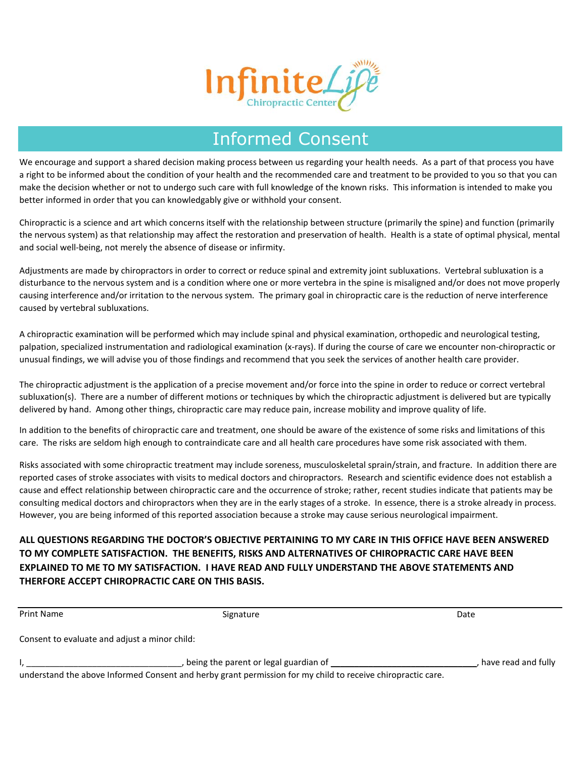

# Informed Consent

We encourage and support a shared decision making process between us regarding your health needs. As a part of that process you have a right to be informed about the condition of your health and the recommended care and treatment to be provided to you so that you can make the decision whether or not to undergo such care with full knowledge of the known risks. This information is intended to make you better informed in order that you can knowledgably give or withhold your consent.

Chiropractic is a science and art which concerns itself with the relationship between structure (primarily the spine) and function (primarily the nervous system) as that relationship may affect the restoration and preservation of health. Health is a state of optimal physical, mental and social well-being, not merely the absence of disease or infirmity.

Adjustments are made by chiropractors in order to correct or reduce spinal and extremity joint subluxations. Vertebral subluxation is a disturbance to the nervous system and is a condition where one or more vertebra in the spine is misaligned and/or does not move properly causing interference and/or irritation to the nervous system. The primary goal in chiropractic care is the reduction of nerve interference caused by vertebral subluxations.

A chiropractic examination will be performed which may include spinal and physical examination, orthopedic and neurological testing, palpation, specialized instrumentation and radiological examination (x-rays). If during the course of care we encounter non-chiropractic or unusual findings, we will advise you of those findings and recommend that you seek the services of another health care provider.

The chiropractic adjustment is the application of a precise movement and/or force into the spine in order to reduce or correct vertebral subluxation(s). There are a number of different motions or techniques by which the chiropractic adjustment is delivered but are typically delivered by hand. Among other things, chiropractic care may reduce pain, increase mobility and improve quality of life.

In addition to the benefits of chiropractic care and treatment, one should be aware of the existence of some risks and limitations of this care. The risks are seldom high enough to contraindicate care and all health care procedures have some risk associated with them.

Risks associated with some chiropractic treatment may include soreness, musculoskeletal sprain/strain, and fracture. In addition there are reported cases of stroke associates with visits to medical doctors and chiropractors. Research and scientific evidence does not establish a cause and effect relationship between chiropractic care and the occurrence of stroke; rather, recent studies indicate that patients may be consulting medical doctors and chiropractors when they are in the early stages of a stroke. In essence, there is a stroke already in process. However, you are being informed of this reported association because a stroke may cause serious neurological impairment.

**ALL QUESTIONS REGARDING THE DOCTOR'S OBJECTIVE PERTAINING TO MY CARE IN THIS OFFICE HAVE BEEN ANSWERED TO MY COMPLETE SATISFACTION. THE BENEFITS, RISKS AND ALTERNATIVES OF CHIROPRACTIC CARE HAVE BEEN EXPLAINED TO ME TO MY SATISFACTION. I HAVE READ AND FULLY UNDERSTAND THE ABOVE STATEMENTS AND THERFORE ACCEPT CHIROPRACTIC CARE ON THIS BASIS.** 

Print Name **Signature Signature Signature Signature Date Constanting Date Constanting Date** 

Consent to evaluate and adjust a minor child:

| , being the parent or legal guardian of                                                                     | , have read and fully |
|-------------------------------------------------------------------------------------------------------------|-----------------------|
| understand the above Informed Consent and herby grant permission for my child to receive chiropractic care. |                       |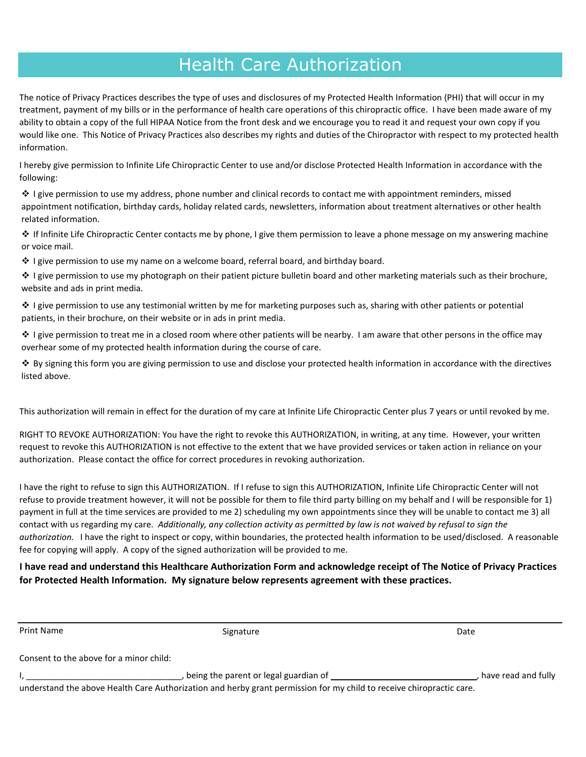# Health Care Authorization

The notice of Privacy Practices describes the type of uses and disclosures of my Protected Health Information (PHI) that will occur in my treatment, payment of my bills or in the performance of health care operations of this chiropractic office. I have been made aware of my ability to obtain a copy of the full HIPAA Notice from the front desk and we encourage you to read it and request your own copy if you would like one. This Notice of Privacy Practices also describes my rights and duties of the Chiropractor with respect to my protected health information.

I hereby give permission to Infinite Life Chiropractic Center to use and/or disclose Protected Health Information in accordance with the following:

 $\cdot \cdot$  I give permission to use my address, phone number and clinical records to contact me with appointment reminders, missed appointment notification, birthday cards, holiday related cards, newsletters, information about treatment alternatives or other health related information.

 $\clubsuit$  If Infinite Life Chiropractic Center contacts me by phone, I give them permission to leave a phone message on my answering machine or voice mail.

v I give permission to use my name on a welcome board, referral board, and birthday board.

 $\cdot \cdot$  I give permission to use my photograph on their patient picture bulletin board and other marketing materials such as their brochure, website and ads in print media.

v I give permission to use any testimonial written by me for marketing purposes such as, sharing with other patients or potential patients, in their brochure, on their website or in ads in print media.

 $\cdot \cdot$  I give permission to treat me in a closed room where other patients will be nearby. I am aware that other persons in the office may overhear some of my protected health information during the course of care.

v By signing this form you are giving permission to use and disclose your protected health information in accordance with the directives listed above.

This authorization will remain in effect for the duration of my care at Infinite Life Chiropractic Center plus 7 years or until revoked by me.

RIGHT TO REVOKE AUTHORIZATION: You have the right to revoke this AUTHORIZATION, in writing, at any time. However, your written request to revoke this AUTHORIZATION is not effective to the extent that we have provided services or taken action in reliance on your authorization. Please contact the office for correct procedures in revoking authorization.

I have the right to refuse to sign this AUTHORIZATION. If I refuse to sign this AUTHORIZATION, Infinite Life Chiropractic Center will not refuse to provide treatment however, it will not be possible for them to file third party billing on my behalf and I will be responsible for 1) payment in full at the time services are provided to me 2) scheduling my own appointments since they will be unable to contact me 3) all contact with us regarding my care. *Additionally, any collection activity as permitted by law is not waived by refusal to sign the authorization.* I have the right to inspect or copy, within boundaries, the protected health information to be used/disclosed. A reasonable fee for copying will apply. A copy of the signed authorization will be provided to me.

**I have read and understand this Healthcare Authorization Form and acknowledge receipt of The Notice of Privacy Practices for Protected Health Information. My signature below represents agreement with these practices.**

| <b>Print Name</b>                       | Signature                                                                                                            | Date                |  |
|-----------------------------------------|----------------------------------------------------------------------------------------------------------------------|---------------------|--|
| Consent to the above for a minor child: |                                                                                                                      |                     |  |
|                                         | being the parent or legal guardian of                                                                                | have read and fully |  |
|                                         | understand the above Health Care Authorization and herby grant permission for my child to receive chiropractic care. |                     |  |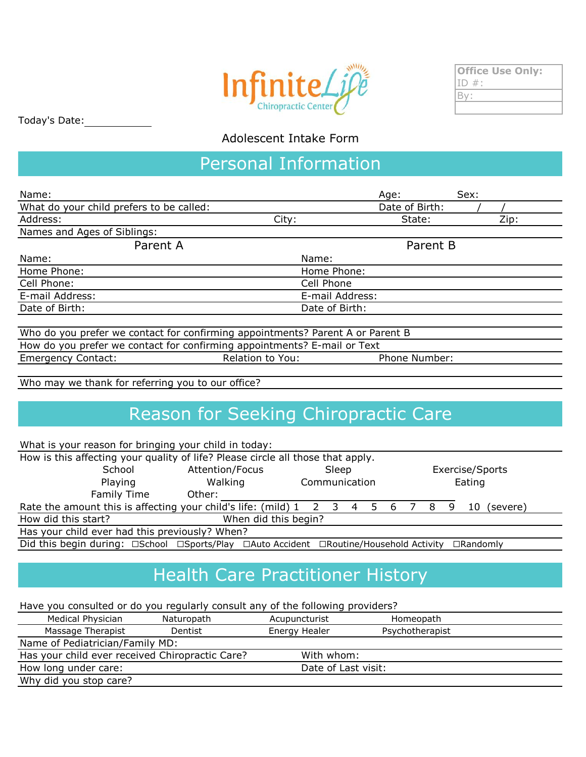

| <b>Office Use Only:</b> |  |
|-------------------------|--|
| $ID \#$ :               |  |
| 'By:                    |  |
|                         |  |

Today's Date:

#### Adolescent Intake Form

# Personal Information

| Name:                                                                          |                 | Age:           | Sex: |      |  |  |
|--------------------------------------------------------------------------------|-----------------|----------------|------|------|--|--|
| What do your child prefers to be called:                                       |                 | Date of Birth: |      |      |  |  |
| Address:                                                                       | City:           | State:         |      | Zip: |  |  |
| Names and Ages of Siblings:                                                    |                 |                |      |      |  |  |
| Parent A                                                                       |                 | Parent B       |      |      |  |  |
| Name:                                                                          | Name:           |                |      |      |  |  |
| Home Phone:                                                                    | Home Phone:     |                |      |      |  |  |
| Cell Phone:                                                                    | Cell Phone      |                |      |      |  |  |
| E-mail Address:                                                                | E-mail Address: |                |      |      |  |  |
| Date of Birth:                                                                 | Date of Birth:  |                |      |      |  |  |
|                                                                                |                 |                |      |      |  |  |
| Who do you prefer we contact for confirming appointments? Parent A or Parent B |                 |                |      |      |  |  |
| How do you prefer we contact for confirming appointments? E-mail or Text       |                 |                |      |      |  |  |

Emergency Contact: The Relation to You: Phone Number:

Who may we thank for referring you to our office?

# Reason for Seeking Chiropractic Care

| What is your reason for bringing your child in today:                                            |                      |  |               |       |  |  |     |     |                 |
|--------------------------------------------------------------------------------------------------|----------------------|--|---------------|-------|--|--|-----|-----|-----------------|
| How is this affecting your quality of life? Please circle all those that apply.                  |                      |  |               |       |  |  |     |     |                 |
| School                                                                                           | Attention/Focus      |  |               | Sleep |  |  |     |     | Exercise/Sports |
| Playing                                                                                          | Walking              |  | Communication |       |  |  |     |     | Eating          |
| Family Time                                                                                      | Other:               |  |               |       |  |  |     |     |                 |
| Rate the amount this is affecting your child's life: (mild) 1                                    |                      |  | 2 3 4 5       |       |  |  | 678 | - 9 | (severe)<br>10  |
| How did this start?                                                                              | When did this begin? |  |               |       |  |  |     |     |                 |
| Has your child ever had this previously? When?                                                   |                      |  |               |       |  |  |     |     |                 |
| Did this begin during: □School □Sports/Play □Auto Accident □Routine/Household Activity □Randomly |                      |  |               |       |  |  |     |     |                 |

# Health Care Practitioner History

Have you consulted or do you regularly consult any of the following providers?

| Medical Physician                               | Naturopath | Acupuncturist       | Homeopath       |  |
|-------------------------------------------------|------------|---------------------|-----------------|--|
| Massage Therapist                               | Dentist    | Energy Healer       | Psychotherapist |  |
| Name of Pediatrician/Family MD:                 |            |                     |                 |  |
| Has your child ever received Chiropractic Care? |            | With whom:          |                 |  |
| How long under care:                            |            | Date of Last visit: |                 |  |
| Why did you stop care?                          |            |                     |                 |  |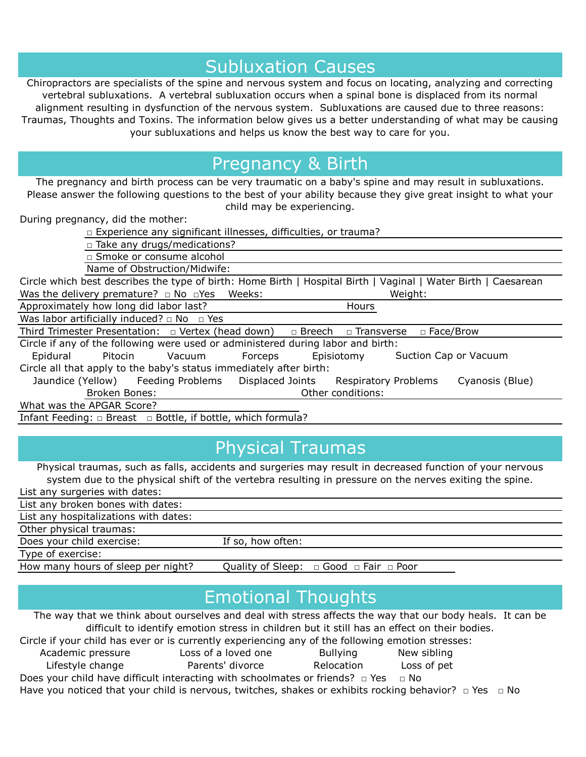# Subluxation Causes

Chiropractors are specialists of the spine and nervous system and focus on locating, analyzing and correcting vertebral subluxations. A vertebral subluxation occurs when a spinal bone is displaced from its normal alignment resulting in dysfunction of the nervous system. Subluxations are caused due to three reasons: Traumas, Thoughts and Toxins. The information below gives us a better understanding of what may be causing your subluxations and helps us know the best way to care for you.

#### Pregnancy & Birth

The pregnancy and birth process can be very traumatic on a baby's spine and may result in subluxations. Please answer the following questions to the best of your ability because they give great insight to what your child may be experiencing.

During pregnancy, did the mother:

□ Experience any significant illnesses, difficulties, or trauma?

□ Take any drugs/medications?

□ Smoke or consume alcohol

Name of Obstruction/Midwife:

Circle which best describes the type of birth: Home Birth | Hospital Birth | Vaginal | Water Birth | Caesarean Was the delivery premature? □ No □Yes Weeks: Wetch Weight:

Approximately how long did labor last?

Was labor artificially induced?  $□$  No  $□$  Yes

Third Trimester Presentation: □ Vertex (head down) □ Breech □ Transverse □ Face/Brow

Circle if any of the following were used or administered during labor and birth: Epidural Pitocin Vacuum Forceps Episiotomy Circle all that apply to the baby's status immediately after birth: Suction Cap or Vacuum

 Jaundice (Yellow) Feeding Problems Displaced Joints Respiratory Problems Cyanosis (Blue) Broken Bones: Constructions: Communications: Communications: Communications: Communications: Communications: Communications: Communications: Communications: Communications: Communications: Communications: Communications: C

What was the APGAR Score?

Infant Feeding: □ Breast □ Bottle, if bottle, which formula?

#### Physical Traumas

Physical traumas, such as falls, accidents and surgeries may result in decreased function of your nervous system due to the physical shift of the vertebra resulting in pressure on the nerves exiting the spine.

List any surgeries with dates:

List any broken bones with dates:

List any hospitalizations with dates:

Other physical traumas:

Does your child exercise: If so, how often:

Type of exercise:

How many hours of sleep per night? Quality of Sleep: □ Good □ Fair □ Poor

### Emotional Thoughts

The way that we think about ourselves and deal with stress affects the way that our body heals. It can be difficult to identify emotion stress in children but it still has an effect on their bodies.

Circle if your child has ever or is currently experiencing any of the following emotion stresses:

Bullying New sibling Academic pressure Loss of a loved one

Relocation Loss of pet Lifestyle change **Parents'** divorce

Does your child have difficult interacting with schoolmates or friends? □ Yes □ No

Have you noticed that your child is nervous, twitches, shakes or exhibits rocking behavior?  $\Box$  Yes  $\Box$  No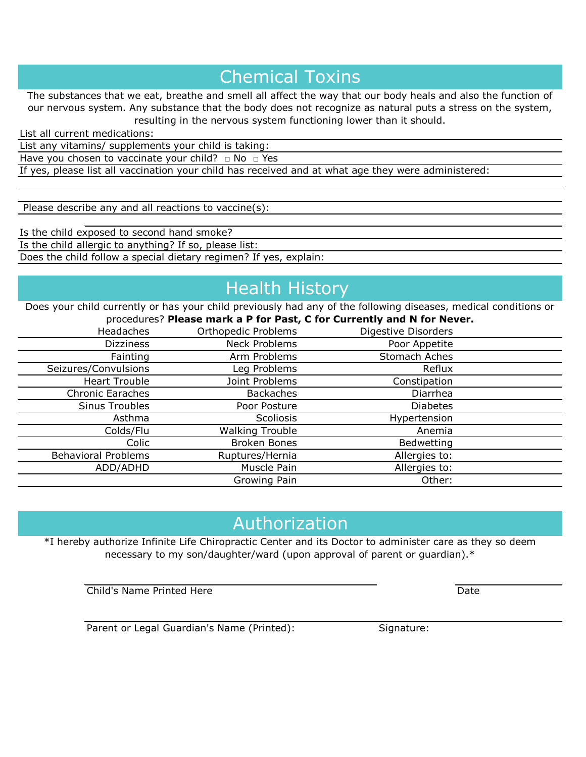Chemical Toxins

The substances that we eat, breathe and smell all affect the way that our body heals and also the function of our nervous system. Any substance that the body does not recognize as natural puts a stress on the system, resulting in the nervous system functioning lower than it should.

List all current medications:

List any vitamins/ supplements your child is taking:

Have you chosen to vaccinate your child? □ No □ Yes

If yes, please list all vaccination your child has received and at what age they were administered:

Please describe any and all reactions to vaccine(s):

Is the child exposed to second hand smoke?

Is the child allergic to anything? If so, please list:

Does the child follow a special dietary regimen? If yes, explain:

# Health History

Does your child currently or has your child previously had any of the following diseases, medical conditions or procedures? **Please mark a P for Past, C for Currently and N for Never.**

| Headaches                  | <b>Orthopedic Problems</b> | Digestive Disorders |  |
|----------------------------|----------------------------|---------------------|--|
| <b>Dizziness</b>           | Neck Problems              | Poor Appetite       |  |
| Fainting                   | Arm Problems               | Stomach Aches       |  |
| Seizures/Convulsions       | Leg Problems               | Reflux              |  |
| <b>Heart Trouble</b>       | Joint Problems             | Constipation        |  |
| <b>Chronic Earaches</b>    | <b>Backaches</b>           | Diarrhea            |  |
| Sinus Troubles             | Poor Posture               | <b>Diabetes</b>     |  |
| Asthma                     | <b>Scoliosis</b>           | Hypertension        |  |
| Colds/Flu                  | <b>Walking Trouble</b>     | Anemia              |  |
| Colic                      | <b>Broken Bones</b>        | Bedwetting          |  |
| <b>Behavioral Problems</b> | Ruptures/Hernia            | Allergies to:       |  |
| ADD/ADHD                   | Muscle Pain                | Allergies to:       |  |
|                            | Growing Pain               | Other:              |  |

### Authorization

\*I hereby authorize Infinite Life Chiropractic Center and its Doctor to administer care as they so deem necessary to my son/daughter/ward (upon approval of parent or guardian).\*

**Child's Name Printed Here** 2008 **Child's Name Printed Here** 

Parent or Legal Guardian's Name (Printed): Signature: